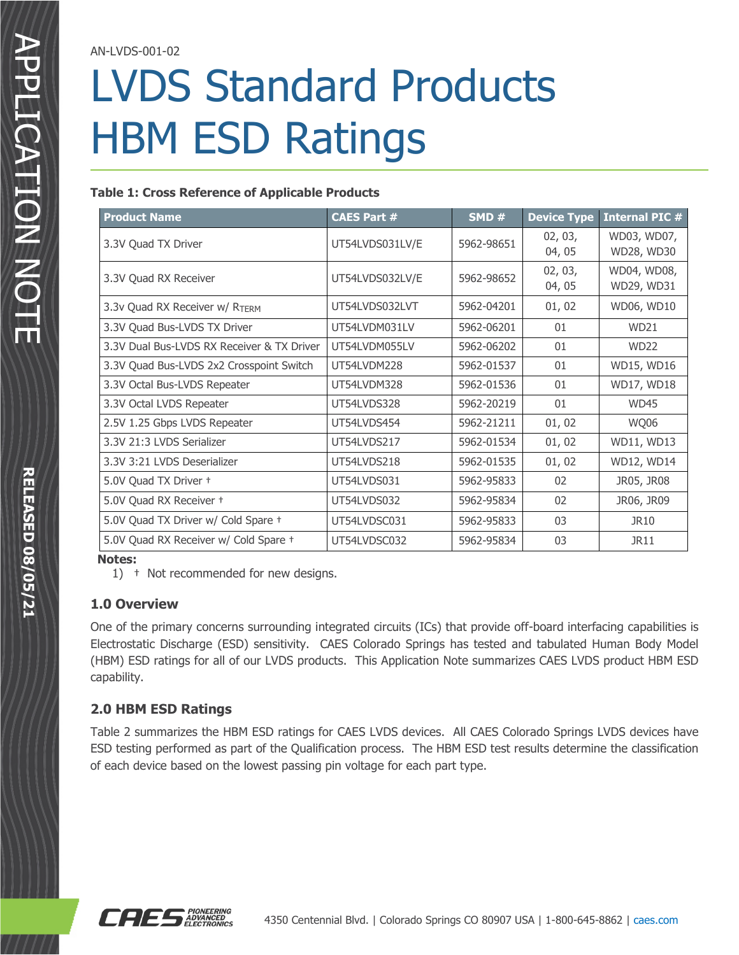AN-LVDS-001-02

# LVDS Standard Products HBM ESD Ratings

### **Table 1: Cross Reference of Applicable Products**

| <b>Product Name</b>                        | <b>CAES Part #</b> | SMD#                            | <b>Device Type</b> | <b>Internal PIC #</b>     |  |
|--------------------------------------------|--------------------|---------------------------------|--------------------|---------------------------|--|
| 3.3V Quad TX Driver                        | UT54LVDS031LV/E    | 02, 03,<br>5962-98651<br>04, 05 |                    | WD03, WD07,<br>WD28, WD30 |  |
| 3.3V Quad RX Receiver                      | UT54LVDS032LV/E    | 5962-98652                      | 02, 03,<br>04, 05  | WD04, WD08,<br>WD29, WD31 |  |
| 3.3v Quad RX Receiver w/ RTERM             | UT54LVDS032LVT     | 5962-04201                      | 01,02              | WD06, WD10                |  |
| 3.3V Quad Bus-LVDS TX Driver               | UT54LVDM031LV      | 5962-06201                      | 01                 | <b>WD21</b>               |  |
| 3.3V Dual Bus-LVDS RX Receiver & TX Driver | UT54LVDM055LV      | 5962-06202                      | 01                 | <b>WD22</b>               |  |
| 3.3V Quad Bus-LVDS 2x2 Crosspoint Switch   | UT54LVDM228        | 5962-01537                      | 01                 | WD15, WD16                |  |
| 3.3V Octal Bus-LVDS Repeater               | UT54LVDM328        | 5962-01536                      | 01                 | WD17, WD18                |  |
| 3.3V Octal LVDS Repeater                   | UT54LVDS328        | 5962-20219                      | 01                 | <b>WD45</b>               |  |
| 2.5V 1.25 Gbps LVDS Repeater               | UT54LVDS454        | 5962-21211                      | 01,02              | WQ06                      |  |
| 3.3V 21:3 LVDS Serializer                  | UT54LVDS217        | 5962-01534                      | 01,02              | WD11, WD13                |  |
| 3.3V 3:21 LVDS Deserializer                | UT54LVDS218        | 5962-01535                      | 01,02              | WD12, WD14                |  |
| 5.0V Quad TX Driver +                      | UT54LVDS031        | 5962-95833                      | 02                 |                           |  |
| 5.0V Quad RX Receiver +                    | UT54LVDS032        | 5962-95834                      | 02                 | JR06, JR09                |  |
| 5.0V Quad TX Driver w/ Cold Spare +        | UT54LVDSC031       | 5962-95833                      | 03                 | <b>JR10</b>               |  |
| 5.0V Quad RX Receiver w/ Cold Spare +      | UT54LVDSC032       | 5962-95834                      | 03                 | JR11                      |  |

#### **Notes:**

1) † Not recommended for new designs.

### **1.0 Overview**

One of the primary concerns surrounding integrated circuits (ICs) that provide off-board interfacing capabilities is Electrostatic Discharge (ESD) sensitivity. CAES Colorado Springs has tested and tabulated Human Body Model (HBM) ESD ratings for all of our LVDS products. This Application Note summarizes CAES LVDS product HBM ESD capability.

## **2.0 HBM ESD Ratings**

Table 2 summarizes the HBM ESD ratings for CAES LVDS devices. All CAES Colorado Springs LVDS devices have ESD testing performed as part of the Qualification process. The HBM ESD test results determine the classification of each device based on the lowest passing pin voltage for each part type.

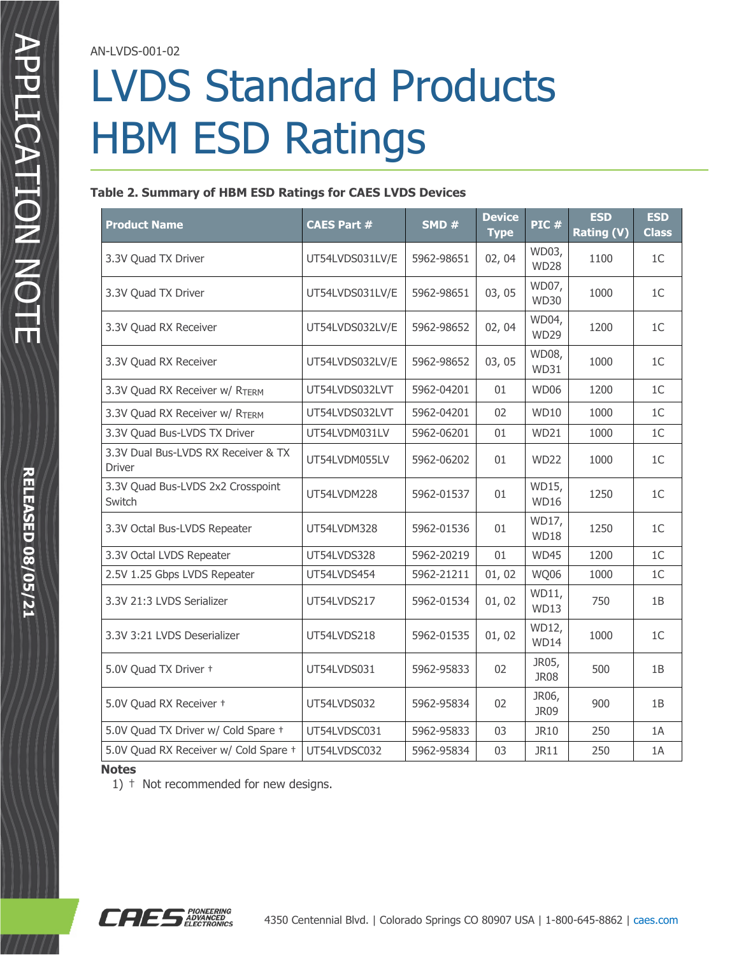AN-LVDS-001-02

# LVDS Standard Products HBM ESD Ratings

#### **Table 2. Summary of HBM ESD Ratings for CAES LVDS Devices**

| <b>Product Name</b>                                  | <b>CAES Part #</b> | SMD#       | <b>Device</b><br><b>Type</b> | PIC#                 | <b>ESD</b><br><b>Rating (V)</b> | <b>ESD</b><br><b>Class</b> |
|------------------------------------------------------|--------------------|------------|------------------------------|----------------------|---------------------------------|----------------------------|
| 3.3V Quad TX Driver                                  | UT54LVDS031LV/E    | 5962-98651 | 02, 04                       | WD03,<br><b>WD28</b> | 1100                            | 1 <sup>C</sup>             |
| 3.3V Quad TX Driver                                  | UT54LVDS031LV/E    | 5962-98651 | 03,05                        | WD07,<br><b>WD30</b> | 1000                            | 1 <sup>C</sup>             |
| 3.3V Quad RX Receiver                                | UT54LVDS032LV/E    | 5962-98652 | 02, 04                       | WD04,<br><b>WD29</b> | 1200                            | 1 <sup>C</sup>             |
| 3.3V Quad RX Receiver                                | UT54LVDS032LV/E    | 5962-98652 | 03,05                        | WD08,<br>WD31        | 1000                            | 1 <sup>C</sup>             |
| 3.3V Quad RX Receiver w/ RTERM                       | UT54LVDS032LVT     | 5962-04201 | 01                           | WD06                 | 1200                            | 1 <sup>C</sup>             |
| 3.3V Quad RX Receiver w/ RTERM                       | UT54LVDS032LVT     | 5962-04201 | 02                           | <b>WD10</b>          | 1000                            | 1 <sup>C</sup>             |
| 3.3V Quad Bus-LVDS TX Driver                         | UT54LVDM031LV      | 5962-06201 | 01                           | WD21                 | 1000                            | 1C                         |
| 3.3V Dual Bus-LVDS RX Receiver & TX<br><b>Driver</b> | UT54LVDM055LV      | 5962-06202 | 01                           | <b>WD22</b>          | 1000                            | 1 <sup>C</sup>             |
| 3.3V Quad Bus-LVDS 2x2 Crosspoint<br>Switch          | UT54LVDM228        | 5962-01537 | 01                           | WD15,<br><b>WD16</b> | 1250                            | 1 <sup>C</sup>             |
| 3.3V Octal Bus-LVDS Repeater                         | UT54LVDM328        | 5962-01536 | 01                           | WD17,<br><b>WD18</b> | 1250                            | 1 <sup>C</sup>             |
| 3.3V Octal LVDS Repeater                             | UT54LVDS328        | 5962-20219 | 01                           | <b>WD45</b>          | 1200                            | 1 <sup>C</sup>             |
| 2.5V 1.25 Gbps LVDS Repeater                         | UT54LVDS454        | 5962-21211 | 01,02                        | <b>WQ06</b>          | 1000                            | 1C                         |
| 3.3V 21:3 LVDS Serializer                            | UT54LVDS217        | 5962-01534 | 01, 02                       | WD11,<br><b>WD13</b> | 750                             | 1B                         |
| 3.3V 3:21 LVDS Deserializer                          | UT54LVDS218        | 5962-01535 | 01,02                        | WD12,<br><b>WD14</b> | 1000                            | 1 <sup>C</sup>             |
| 5.0V Quad TX Driver +                                | UT54LVDS031        | 5962-95833 | 02                           | JR05,<br>JR08        | 500                             | 1B                         |
| 5.0V Quad RX Receiver +                              | UT54LVDS032        | 5962-95834 | 02                           | JR06,<br><b>JR09</b> | 900                             | 1B                         |
| 5.0V Quad TX Driver w/ Cold Spare +                  | UT54LVDSC031       | 5962-95833 | 03                           | JR10                 | 250                             | 1A                         |
| 5.0V Quad RX Receiver w/ Cold Spare +                | UT54LVDSC032       | 5962-95834 | 03                           | <b>JR11</b>          | 250                             | 1A                         |

#### **Notes**

1) † Not recommended for new designs.